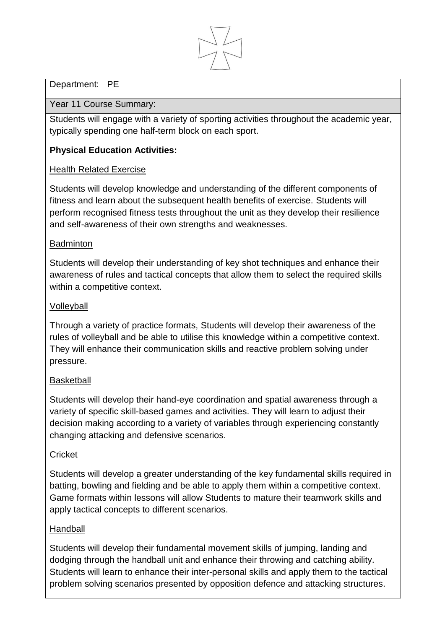

## Department: | PE

## Year 11 Course Summary:

Students will engage with a variety of sporting activities throughout the academic year, typically spending one half-term block on each sport.

# **Physical Education Activities:**

## Health Related Exercise

Students will develop knowledge and understanding of the different components of fitness and learn about the subsequent health benefits of exercise. Students will perform recognised fitness tests throughout the unit as they develop their resilience and self-awareness of their own strengths and weaknesses.

## **Badminton**

Students will develop their understanding of key shot techniques and enhance their awareness of rules and tactical concepts that allow them to select the required skills within a competitive context.

## Volleyball

Through a variety of practice formats, Students will develop their awareness of the rules of volleyball and be able to utilise this knowledge within a competitive context. They will enhance their communication skills and reactive problem solving under pressure.

## **Basketball**

Students will develop their hand-eye coordination and spatial awareness through a variety of specific skill-based games and activities. They will learn to adjust their decision making according to a variety of variables through experiencing constantly changing attacking and defensive scenarios.

## **Cricket**

Students will develop a greater understanding of the key fundamental skills required in batting, bowling and fielding and be able to apply them within a competitive context. Game formats within lessons will allow Students to mature their teamwork skills and apply tactical concepts to different scenarios.

## Handball

Students will develop their fundamental movement skills of jumping, landing and dodging through the handball unit and enhance their throwing and catching ability. Students will learn to enhance their inter-personal skills and apply them to the tactical problem solving scenarios presented by opposition defence and attacking structures.